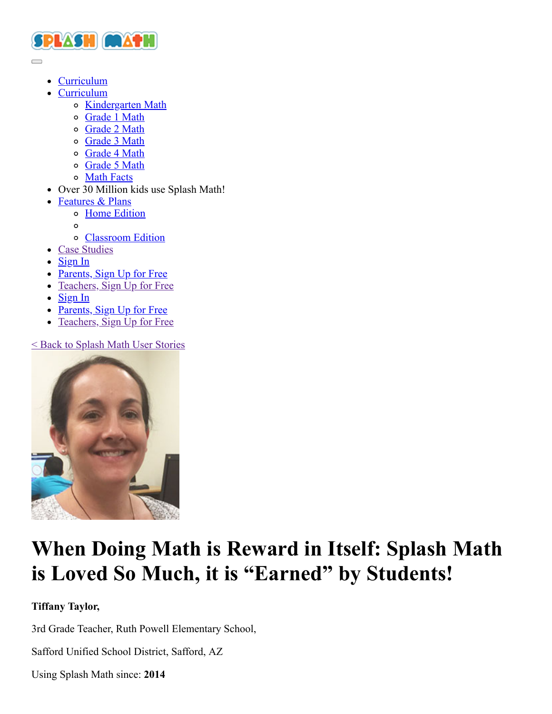

[Curriculum](https://www.splashmath.com/math-skills/kindergarten/curriculum)

 $\Box$ 

- [Curriculum](javascript:void(0);)
	- o [Kindergarten Math](https://www.splashmath.com/math-skills/kindergarten)
	- [Grade 1 Math](https://www.splashmath.com/math-skills/first-grade)
	- o [Grade 2 Math](https://www.splashmath.com/math-skills/second-grade)
	- [Grade 3 Math](https://www.splashmath.com/math-skills/third-grade)
	- o [Grade 4 Math](https://www.splashmath.com/math-skills/fourth-grade)
	- o [Grade 5 Math](https://www.splashmath.com/math-skills/fifth-grade)
	- [Math Facts](https://www.splashmath.com/math-skills/math-facts)
- Over 30 Million kids use Splash Math!
- [Features & Plans](javascript:void(0);)
	- [Home Edition](https://www.splashmath.com/features/parents)
	- $\circ$
	- [Classroom Edition](https://www.splashmath.com/features/teachers)
- [Case Studies](https://www.splashmath.com/success-stories)
- $\bullet$  [Sign In](#page-4-0)
- [Parents, Sign Up for Free](https://www.splashmath.com/parents/register)
- [Teachers, Sign Up for Free](https://www.splashmath.com/teachers/register)
- $\bullet$  [Sign In](#page-4-0)
- $\bullet$  [Parents, Sign Up for Free](https://www.splashmath.com/parents/register)
- [Teachers, Sign Up for Free](https://www.splashmath.com/teachers/register)

[< Back to Splash Math User Stories](https://www.splashmath.com/success-stories)



# **When Doing Math is Reward in Itself: Splash Math is Loved So Much, it is "Earned" by Students!**

## **Tiffany Taylor,**

3rd Grade Teacher, Ruth Powell Elementary School,

Safford Unified School District, Safford, AZ

Using Splash Math since: **2014**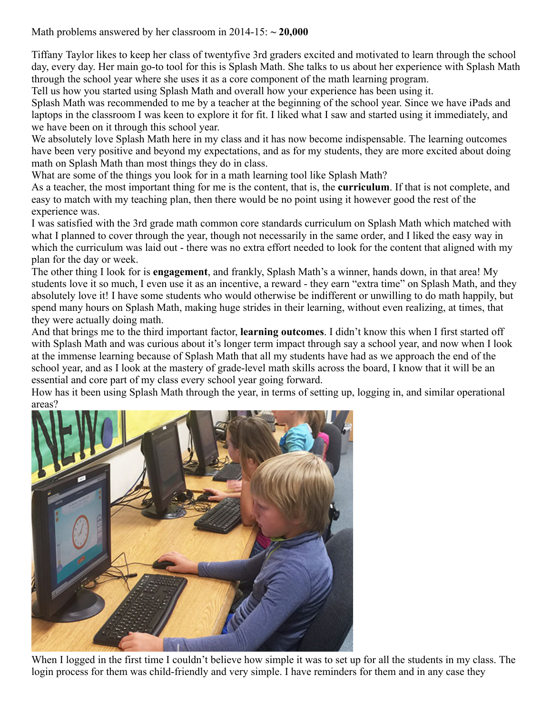Math problems answered by her classroom in 2014-15: **~ 20,000**

Tiffany Taylor likes to keep her class of twentyfive 3rd graders excited and motivated to learn through the school day, every day. Her main go-to tool for this is Splash Math. She talks to us about her experience with Splash Math through the school year where she uses it as a core component of the math learning program.

Tell us how you started using Splash Math and overall how your experience has been using it.

Splash Math was recommended to me by a teacher at the beginning of the school year. Since we have iPads and laptops in the classroom I was keen to explore it for fit. I liked what I saw and started using it immediately, and we have been on it through this school year.

We absolutely love Splash Math here in my class and it has now become indispensable. The learning outcomes have been very positive and beyond my expectations, and as for my students, they are more excited about doing math on Splash Math than most things they do in class.

What are some of the things you look for in a math learning tool like Splash Math?

As a teacher, the most important thing for me is the content, that is, the **curriculum**. If that is not complete, and easy to match with my teaching plan, then there would be no point using it however good the rest of the experience was.

I was satisfied with the 3rd grade math common core standards curriculum on Splash Math which matched with what I planned to cover through the year, though not necessarily in the same order, and I liked the easy way in which the curriculum was laid out - there was no extra effort needed to look for the content that aligned with my plan for the day or week.

The other thing I look for is **engagement**, and frankly, Splash Math's a winner, hands down, in that area! My students love it so much, I even use it as an incentive, a reward - they earn "extra time" on Splash Math, and they absolutely love it! I have some students who would otherwise be indifferent or unwilling to do math happily, but spend many hours on Splash Math, making huge strides in their learning, without even realizing, at times, that they were actually doing math.

And that brings me to the third important factor, **learning outcomes**. I didn't know this when I first started off with Splash Math and was curious about it's longer term impact through say a school year, and now when I look at the immense learning because of Splash Math that all my students have had as we approach the end of the school year, and as I look at the mastery of grade-level math skills across the board, I know that it will be an essential and core part of my class every school year going forward.

How has it been using Splash Math through the year, in terms of setting up, logging in, and similar operational areas?



When I logged in the first time I couldn't believe how simple it was to set up for all the students in my class. The login process for them was child-friendly and very simple. I have reminders for them and in any case they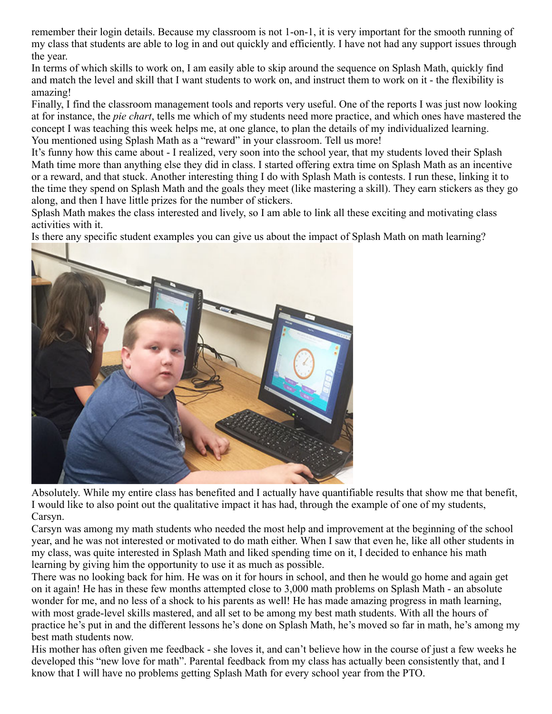remember their login details. Because my classroom is not 1-on-1, it is very important for the smooth running of my class that students are able to log in and out quickly and efficiently. I have not had any support issues through the year.

In terms of which skills to work on, I am easily able to skip around the sequence on Splash Math, quickly find and match the level and skill that I want students to work on, and instruct them to work on it - the flexibility is amazing!

Finally, I find the classroom management tools and reports very useful. One of the reports I was just now looking at for instance, the *pie chart*, tells me which of my students need more practice, and which ones have mastered the concept I was teaching this week helps me, at one glance, to plan the details of my individualized learning. You mentioned using Splash Math as a "reward" in your classroom. Tell us more!

It's funny how this came about - I realized, very soon into the school year, that my students loved their Splash Math time more than anything else they did in class. I started offering extra time on Splash Math as an incentive or a reward, and that stuck. Another interesting thing I do with Splash Math is contests. I run these, linking it to the time they spend on Splash Math and the goals they meet (like mastering a skill). They earn stickers as they go along, and then I have little prizes for the number of stickers.

Splash Math makes the class interested and lively, so I am able to link all these exciting and motivating class activities with it.

Is there any specific student examples you can give us about the impact of Splash Math on math learning?



Absolutely. While my entire class has benefited and I actually have quantifiable results that show me that benefit, I would like to also point out the qualitative impact it has had, through the example of one of my students, Carsyn.

Carsyn was among my math students who needed the most help and improvement at the beginning of the school year, and he was not interested or motivated to do math either. When I saw that even he, like all other students in my class, was quite interested in Splash Math and liked spending time on it, I decided to enhance his math learning by giving him the opportunity to use it as much as possible.

There was no looking back for him. He was on it for hours in school, and then he would go home and again get on it again! He has in these few months attempted close to 3,000 math problems on Splash Math - an absolute wonder for me, and no less of a shock to his parents as well! He has made amazing progress in math learning, with most grade-level skills mastered, and all set to be among my best math students. With all the hours of practice he's put in and the different lessons he's done on Splash Math, he's moved so far in math, he's among my best math students now.

His mother has often given me feedback - she loves it, and can't believe how in the course of just a few weeks he developed this "new love for math". Parental feedback from my class has actually been consistently that, and I know that I will have no problems getting Splash Math for every school year from the PTO.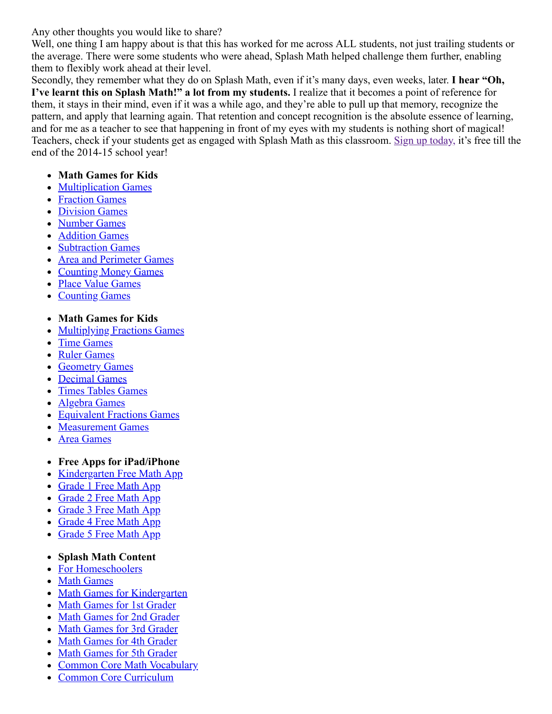Any other thoughts you would like to share?

Well, one thing I am happy about is that this has worked for me across ALL students, not just trailing students or the average. There were some students who were ahead, Splash Math helped challenge them further, enabling them to flexibly work ahead at their level.

Secondly, they remember what they do on Splash Math, even if it's many days, even weeks, later. **I hear "Oh, I've learnt this on Splash Math!" a lot from my students.** I realize that it becomes a point of reference for them, it stays in their mind, even if it was a while ago, and they're able to pull up that memory, recognize the pattern, and apply that learning again. That retention and concept recognition is the absolute essence of learning, and for me as a teacher to see that happening in front of my eyes with my students is nothing short of magical! Teachers, check if your students get as engaged with Splash Math as this classroom. [Sign up today,](https://www.splashmath.com/teachers/register) it's free till the end of the 2014-15 school year!

### **Math Games for Kids**

- [Multiplication Games](https://www.splashmath.com/multiplication-games)
- [Fraction Games](https://www.splashmath.com/fraction-games)
- [Division Games](https://www.splashmath.com/division-games)
- [Number Games](https://www.splashmath.com/number-games)
- [Addition Games](https://www.splashmath.com/addition-games)
- [Subtraction Games](https://www.splashmath.com/subtraction-games)  $\bullet$
- [Area and Perimeter Games](https://www.splashmath.com/area-and-perimeter-games)  $\bullet$
- [Counting Money Games](https://www.splashmath.com/counting-money-games)  $\bullet$
- [Place Value Games](https://www.splashmath.com/place-value-games)
- [Counting Games](https://www.splashmath.com/counting-games)
- **Math Games for Kids**
- [Multiplying Fractions Games](https://www.splashmath.com/multiplying-fractions-games)  $\bullet$
- [Time Games](https://www.splashmath.com/time-games)  $\bullet$
- [Ruler Games](https://www.splashmath.com/ruler-games)
- **[Geometry Games](https://www.splashmath.com/geometry-games)**  $\bullet$
- [Decimal Games](https://www.splashmath.com/decimal-games)  $\bullet$
- [Times Tables Games](https://www.splashmath.com/times-tables-games)  $\bullet$
- [Algebra Games](https://www.splashmath.com/algebra-games)  $\bullet$
- [Equivalent Fractions Games](https://www.splashmath.com/equivalent-fractions-games)  $\bullet$
- [Measurement Games](https://www.splashmath.com/measurement-games)
- [Area Games](https://www.splashmath.com/area-games)
- **Free Apps for iPad/iPhone**
- [Kindergarten Free Math App](https://itunes.apple.com/us/app/splash-math-kindergarten-fun-educational-worksheets/id610303073?mt=8)
- [Grade 1 Free Math App](https://itunes.apple.com/us/app/splash-math-grade-1/id463469532?mt=8)
- [Grade 2 Free Math App](https://itunes.apple.com/us/app/splash-math-grade-2/id463471155?mt=8)
- [Grade 3 Free Math App](https://itunes.apple.com/us/app/splash-math-grade-3/id449564960?mt=8)  $\bullet$
- [Grade 4 Free Math App](https://itunes.apple.com/us/app/splash-math-grade-4/id492885924?mt=8)  $\bullet$
- [Grade 5 Free Math App](https://itunes.apple.com/us/app/splash-math-grade-5/id504807361?mt=8)  $\bullet$

#### **Splash Math Content**

- [For Homeschoolers](https://www.splashmath.com/homeschool-program)
- [Math Games](https://www.splashmath.com/math-games)
- [Math Games for Kindergarten](https://www.splashmath.com/math-games-for-kindergarteners)
- [Math Games for 1st Grader](https://www.splashmath.com/math-games-for-1st-graders)  $\bullet$
- [Math Games for 2nd Grader](https://www.splashmath.com/math-games-for-2nd-graders)
- [Math Games for 3rd Grader](https://www.splashmath.com/math-games-for-3rd-graders)  $\bullet$
- [Math Games for 4th Grader](https://www.splashmath.com/math-games-for-4th-graders)  $\bullet$
- [Math Games for 5th Grader](https://www.splashmath.com/math-games-for-5th-graders)  $\bullet$
- [Common Core Math Vocabulary](https://www.splashmath.com/math-vocabulary)  $\bullet$
- [Common Core Curriculum](https://www.splashmath.com/common-core-math)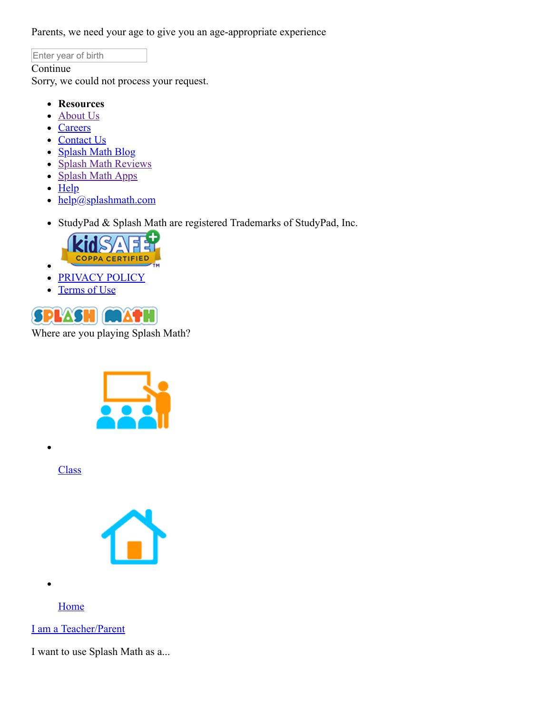<span id="page-4-1"></span>Parents, we need your age to give you an age-appropriate experience

Enter year of birth

#### Continue

Sorry, we could not process your request.

- **Resources**
- [About Us](https://www.splashmath.com/about)  $\bullet$
- [Careers](https://studypad.recruiterbox.com/)
- [Contact Us](https://www.splashmath.com/about/contact-us)
- [Splash Math Blog](https://www.splashmath.com/blog)
- [Splash Math Reviews](https://www.splashmath.com/reviews)
- [Splash Math Apps](https://www.splashmath.com/apps)
- $\bullet$  [Help](#page-4-1)

 $\bullet$ 

- $\cdot$  [help@splashmath.com](mailto:help@splashmath.com)
- StudyPad & Splash Math are registered Trademarks of StudyPad, Inc.



- [PRIVACY POLICY](https://www.splashmath.com/privacy)  $\bullet$
- [Terms of Use](https://www.splashmath.com/terms-of-use)  $\bullet$

<span id="page-4-0"></span>

Where are you playing Splash Math?



**[Class](javascript:void(0);)** 



[Home](javascript:void(0);)

[I am a Teacher/Parent](javascript:void(0);)

I want to use Splash Math as a...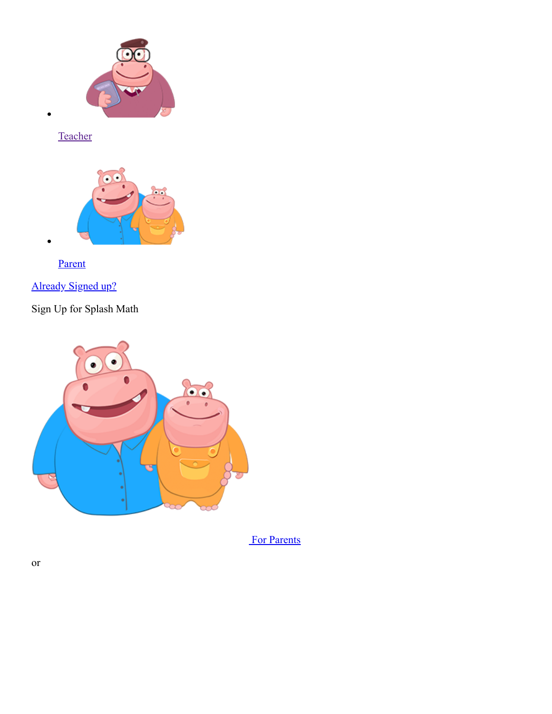

[Teacher](https://www.splashmath.com/teachers/register)





[Already Signed up?](#page-4-0)

Sign Up for Splash Math



[For Parents](https://www.splashmath.com/parents/register)